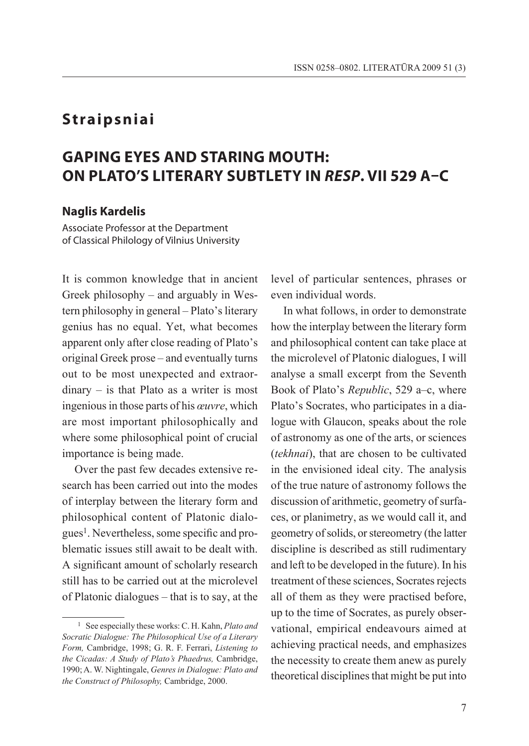# **Straipsniai**

## **Gaping Eyes and Staring Mouth: On Plato's Literary Subtlety in** *Resp***. VII 529 a–c**

### **Naglis Kardelis**

Associate Professor at the Department of Classical Philology of Vilnius University

It is common knowledge that in ancient Greek philosophy – and arguably in Western philosophy in general – Plato's literary genius has no equal. Yet, what becomes apparent only after close reading of Plato's original Greek prose – and eventually turns out to be most unexpected and extraordinary – is that Plato as a writer is most ingenious in those parts of his *œuvre*, which are most important philosophically and where some philosophical point of crucial importance is being made.

Over the past few decades extensive research has been carried out into the modes of interplay between the literary form and philosophical content of Platonic dialogues1. Nevertheless, some specific and problematic issues still await to be dealt with. A significant amount of scholarly research still has to be carried out at the microlevel of Platonic dialogues – that is to say, at the level of particular sentences, phrases or even individual words.

In what follows, in order to demonstrate how the interplay between the literary form and philosophical content can take place at the microlevel of Platonic dialogues, I will analyse a small excerpt from the Seventh Book of Plato's *Republic*, 529 a–c, where Plato's Socrates, who participates in a dialogue with Glaucon, speaks about the role of astronomy as one of the arts, or sciences (*tekhnai*), that are chosen to be cultivated in the envisioned ideal city. The analysis of the true nature of astronomy follows the discussion of arithmetic, geometry of surfaces, or planimetry, as we would call it, and geometry of solids, or stereometry (the latter discipline is described as still rudimentary and left to be developed in the future). In his treatment of these sciences, Socrates rejects all of them as they were practised before, up to the time of Socrates, as purely observational, empirical endeavours aimed at achieving practical needs, and emphasizes the necessity to create them anew as purely theoretical disciplines that might be put into

<sup>1</sup> See especially these works: C. H. Kahn, *Plato and Socratic Dialogue: The Philosophical Use of a Literary Form,* Cambridge, 1998; G. R. F. Ferrari, *Listening to the Cicadas: A Study of Plato's Phaedrus,* Cambridge, 1990; A. W. Nightingale, *Genres in Dialogue: Plato and the Construct of Philosophy,* Cambridge, 2000.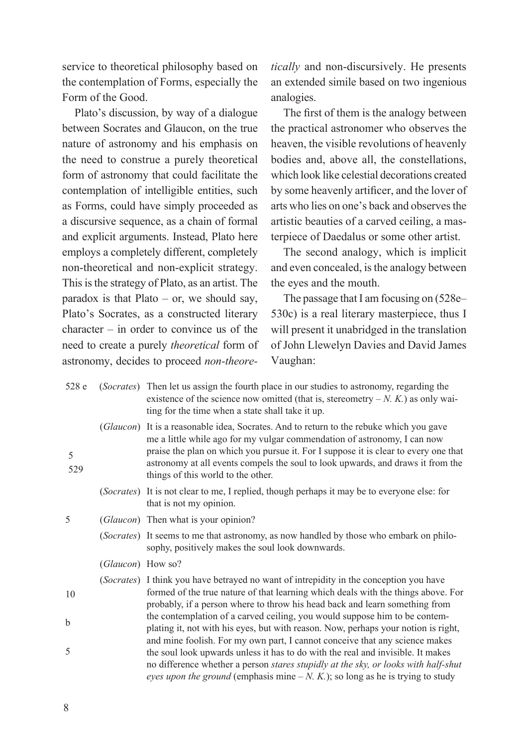service to theoretical philosophy based on the contemplation of Forms, especially the Form of the Good.

Plato's discussion, by way of a dialogue between Socrates and Glaucon, on the true nature of astronomy and his emphasis on the need to construe a purely theoretical form of astronomy that could facilitate the contemplation of intelligible entities, such as Forms, could have simply proceeded as a discursive sequence, as a chain of formal and explicit arguments. Instead, Plato here employs a completely different, completely non-theoretical and non-explicit strategy. This is the strategy of Plato, as an artist. The paradox is that Plato  $-$  or, we should say, Plato's Socrates, as a constructed literary character – in order to convince us of the need to create a purely *theoretical* form of astronomy, decides to proceed *non-theore-* *tically* and non-discursively. He presents an extended simile based on two ingenious analogies.

The first of them is the analogy between the practical astronomer who observes the heaven, the visible revolutions of heavenly bodies and, above all, the constellations, which look like celestial decorations created by some heavenly artificer, and the lover of arts who lies on one's back and observes the artistic beauties of a carved ceiling, a masterpiece of Daedalus or some other artist.

The second analogy, which is implicit and even concealed, is the analogy between the eyes and the mouth.

The passage that I am focusing on (528e– 530c) is a real literary masterpiece, thus I will present it unabridged in the translation of John Llewelyn Davies and David James Vaughan:

| 528 e       |                            | ( <i>Socrates</i> ) Then let us assign the fourth place in our studies to astronomy, regarding the<br>existence of the science now omitted (that is, stereometry $-N$ . K.) as only wai-<br>ting for the time when a state shall take it up.                                                                                                                                        |
|-------------|----------------------------|-------------------------------------------------------------------------------------------------------------------------------------------------------------------------------------------------------------------------------------------------------------------------------------------------------------------------------------------------------------------------------------|
| 5<br>529    |                            | (Glaucon) It is a reasonable idea, Socrates. And to return to the rebuke which you gave<br>me a little while ago for my vulgar commendation of astronomy, I can now<br>praise the plan on which you pursue it. For I suppose it is clear to every one that<br>astronomy at all events compels the soul to look upwards, and draws it from the<br>things of this world to the other. |
|             |                            | ( <i>Socrates</i> ) It is not clear to me, I replied, though perhaps it may be to everyone else: for<br>that is not my opinion.                                                                                                                                                                                                                                                     |
| 5           |                            | ( <i>Glaucon</i> ) Then what is your opinion?                                                                                                                                                                                                                                                                                                                                       |
|             |                            | (Socrates) It seems to me that astronomy, as now handled by those who embark on philo-<br>sophy, positively makes the soul look downwards.                                                                                                                                                                                                                                          |
|             | ( <i>Glaucon</i> ) How so? |                                                                                                                                                                                                                                                                                                                                                                                     |
|             |                            | ( <i>Socrates</i> ) I think you have betrayed no want of intrepidity in the conception you have                                                                                                                                                                                                                                                                                     |
| 10          |                            | formed of the true nature of that learning which deals with the things above. For<br>probably, if a person where to throw his head back and learn something from                                                                                                                                                                                                                    |
| $\mathbf b$ |                            | the contemplation of a carved ceiling, you would suppose him to be contem-<br>plating it, not with his eyes, but with reason. Now, perhaps your notion is right,                                                                                                                                                                                                                    |
| 5           |                            | and mine foolish. For my own part, I cannot conceive that any science makes                                                                                                                                                                                                                                                                                                         |
|             |                            | the soul look upwards unless it has to do with the real and invisible. It makes<br>no difference whether a person stares stupidly at the sky, or looks with half-shut<br>eyes upon the ground (emphasis mine $-N$ . K.); so long as he is trying to study                                                                                                                           |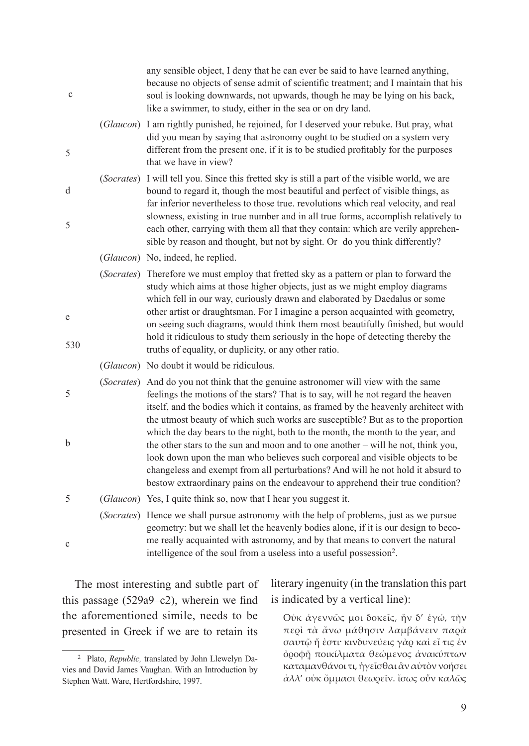| $\mathbf{c}$ | any sensible object, I deny that he can ever be said to have learned anything,<br>because no objects of sense admit of scientific treatment; and I maintain that his<br>soul is looking downwards, not upwards, though he may be lying on his back,<br>like a swimmer, to study, either in the sea or on dry land.                                                                                                       |
|--------------|--------------------------------------------------------------------------------------------------------------------------------------------------------------------------------------------------------------------------------------------------------------------------------------------------------------------------------------------------------------------------------------------------------------------------|
| 5            | (Glaucon) I am rightly punished, he rejoined, for I deserved your rebuke. But pray, what<br>did you mean by saying that astronomy ought to be studied on a system very<br>different from the present one, if it is to be studied profitably for the purposes<br>that we have in view?                                                                                                                                    |
| d            | (Socrates) I will tell you. Since this fretted sky is still a part of the visible world, we are<br>bound to regard it, though the most beautiful and perfect of visible things, as<br>far inferior nevertheless to those true. revolutions which real velocity, and real                                                                                                                                                 |
| 5            | slowness, existing in true number and in all true forms, accomplish relatively to<br>each other, carrying with them all that they contain: which are verily apprehen-<br>sible by reason and thought, but not by sight. Or do you think differently?                                                                                                                                                                     |
|              | (Glaucon) No, indeed, he replied.                                                                                                                                                                                                                                                                                                                                                                                        |
|              | (Socrates) Therefore we must employ that fretted sky as a pattern or plan to forward the<br>study which aims at those higher objects, just as we might employ diagrams<br>which fell in our way, curiously drawn and elaborated by Daedalus or some                                                                                                                                                                      |
| e            | other artist or draughtsman. For I imagine a person acquainted with geometry,<br>on seeing such diagrams, would think them most beautifully finished, but would<br>hold it ridiculous to study them seriously in the hope of detecting thereby the                                                                                                                                                                       |
| 530          | truths of equality, or duplicity, or any other ratio.                                                                                                                                                                                                                                                                                                                                                                    |
|              | (Glaucon) No doubt it would be ridiculous.                                                                                                                                                                                                                                                                                                                                                                               |
| 5            | (Socrates) And do you not think that the genuine astronomer will view with the same<br>feelings the motions of the stars? That is to say, will he not regard the heaven<br>itself, and the bodies which it contains, as framed by the heavenly architect with<br>the utmost beauty of which such works are susceptible? But as to the proportion                                                                         |
| b            | which the day bears to the night, both to the month, the month to the year, and<br>the other stars to the sun and moon and to one another – will he not, think you,<br>look down upon the man who believes such corporeal and visible objects to be<br>changeless and exempt from all perturbations? And will he not hold it absurd to<br>bestow extraordinary pains on the endeavour to apprehend their true condition? |
| 5            | (Glaucon) Yes, I quite think so, now that I hear you suggest it.                                                                                                                                                                                                                                                                                                                                                         |
|              | (Socrates) Hence we shall pursue astronomy with the help of problems, just as we pursue<br>geometry: but we shall let the heavenly bodies alone, if it is our design to beco-                                                                                                                                                                                                                                            |
| $\mathbf c$  | me really acquainted with astronomy, and by that means to convert the natural<br>intelligence of the soul from a useless into a useful possession <sup>2</sup> .                                                                                                                                                                                                                                                         |

The most interesting and subtle part of this passage  $(529a9-c2)$ , wherein we find the aforementioned simile, needs to be presented in Greek if we are to retain its literary ingenuity (in the translation this part is indicated by a vertical line):

Οὐκ ἀγεννῶς μοι δοκεῖς, ἦν δ' ἐγώ, τὴν περὶ τὰ ἄνω μάθησιν λαμβάνειν παρὰ σαυτῷ ἥ ἐστι· κινδυνεύεις γὰρ καὶ εἴ τις ἐν ὀροφῇ ποικίλματα θεώμενος ἀνακύπτων καταμανθάνοι τι, ἡγεῖσθαι ἂν αὐτὸν νοήσει ἀλλ' οὐκ ὄμμασι θεωρεῖν. ἴσως οὖν καλῶς

<sup>2</sup> Plato, *Republic,* translated by John Llewelyn Davies and David James Vaughan. With an Introduction by Stephen Watt. Ware, Hertfordshire, 1997.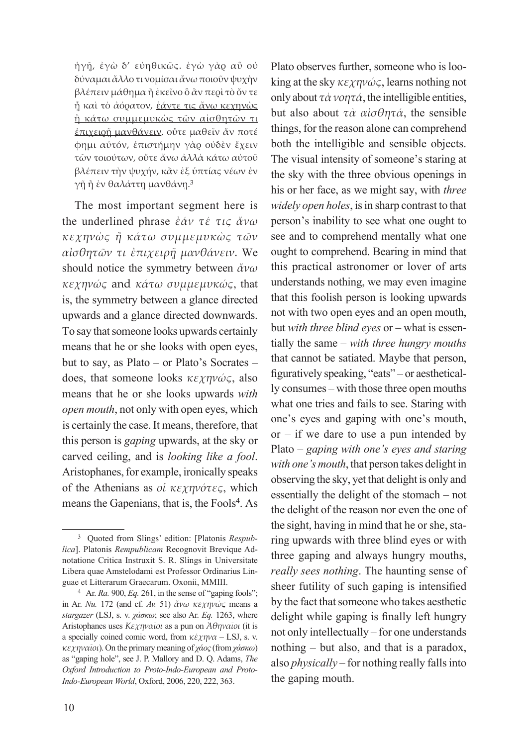ἡγῇ, ἐγὼ δ' εὐηθικῶς. ἐγὼ γὰρ αὖ οὐ δύναμαι ἄλλο τι νομίσαι ἄνω ποιοῦν ψυχὴν βλέπειν μάθημα ἢ ἐκεῖνο ὃ ἂν περὶ τὸ ὄν τε ή καὶ τὸ ἀόρατον, <u>ἐάντε τις ἄνω κεχηνὼς</u> ἢ κάτω συμμεμυκὼς τῶν αἰσθητῶν τι ἐπιχειρῇ μανθάνειν, οὔτε μαθεῖν ἄν ποτέ φημι αὐτόν, ἐπιστήμην γὰρ οὐδὲν ἔχειν τῶν τοιούτων, οὔτε ἄνω ἀλλὰ κάτω αὐτοῦ βλέπειν τὴν ψυχήν, κἂν ἐξ ὑπτίας νέων ἐν γῆ ἢ ἐν θαλάττη μανθάνη.<sup>3</sup>

The most important segment here is the underlined phrase *ἐάν τέ τις ἄνω κεχηνὼς ἢ κάτω συμμεμυκὼς τῶν αἰσθητῶν τι ἐπιχειρῇ μανθάνειν*. We should notice the symmetry between *ἄνω κεχηνώς* and *κάτω συμμεμυκώς*, that is, the symmetry between a glance directed upwards and a glance directed downwards. To say that someone looks upwards certainly means that he or she looks with open eyes, but to say, as Plato – or Plato's Socrates – does, that someone looks *κεχηνώς*, also means that he or she looks upwards *with open mouth*, not only with open eyes, which is certainly the case. It means, therefore, that this person is *gaping* upwards, at the sky or carved ceiling, and is *looking like a fool*. Aristophanes, for example, ironically speaks of the Athenians as *οἱ κεχηνότες*, which means the Gapenians, that is, the Fools<sup>4</sup>. As

Plato observes further, someone who is looking at the sky *κεχηνώς*, learns nothing not only about  $\tau \dot{\alpha}$  *νοητά*, the intelligible entities, but also about *τὰ αἰσθητά*, the sensible things, for the reason alone can comprehend both the intelligible and sensible objects. The visual intensity of someone's staring at the sky with the three obvious openings in his or her face, as we might say, with *three widely open holes*, is in sharp contrast to that person's inability to see what one ought to see and to comprehend mentally what one ought to comprehend. Bearing in mind that this practical astronomer or lover of arts understands nothing, we may even imagine that this foolish person is looking upwards not with two open eyes and an open mouth, but *with three blind eyes* or – what is essentially the same – *with three hungry mouths* that cannot be satiated. Maybe that person, figuratively speaking, "eats" – or aesthetically consumes – with those three open mouths what one tries and fails to see. Staring with one's eyes and gaping with one's mouth,  $or - if we dare to use a pun intended by$ Plato – *gaping with one's eyes and staring with one's mouth*, that person takes delight in observing the sky, yet that delight is only and essentially the delight of the stomach – not the delight of the reason nor even the one of the sight, having in mind that he or she, staring upwards with three blind eyes or with three gaping and always hungry mouths, *really sees nothing*. The haunting sense of sheer futility of such gaping is intensified by the fact that someone who takes aesthetic delight while gaping is finally left hungry not only intellectually – for one understands nothing – but also, and that is a paradox, also *physically* – for nothing really falls into the gaping mouth.

<sup>3</sup> Quoted from Slings' edition: [Platonis *Respublica*]. Platonis *Rempublicam* Recognovit Brevique Adnotatione Critica Instruxit S. R. Slings in Universitate Libera quae Amstelodami est Professor Ordinarius Linguae et Litterarum Graecarum. Oxonii, MMIII.

<sup>4</sup> Ar. *Ra.* 900, *Eq.* 261, in the sense of "gaping fools"; in Ar. *Nu.* 172 (and cf. *Av.* 51) *ἄνω κεχηνώς* means a *stargazer* (LSJ, s. v. *χάσκω*; see also Ar. *Eq.* 1263, where Aristophanes uses *Κεχηναῖοι* as a pun on *Ἀθηναῖοι* (it is a specially coined comic word, from *κέχηνα* – LSJ, s. v. *κεχηναῖοι*). On the primary meaning of *χάος* (from *χάσκω*) as "gaping hole", see J. P. Mallory and D. Q. Adams, *The Oxford Introduction to Proto-Indo-European and Proto-Indo-European World*, Oxford, 2006, 220, 222, 363.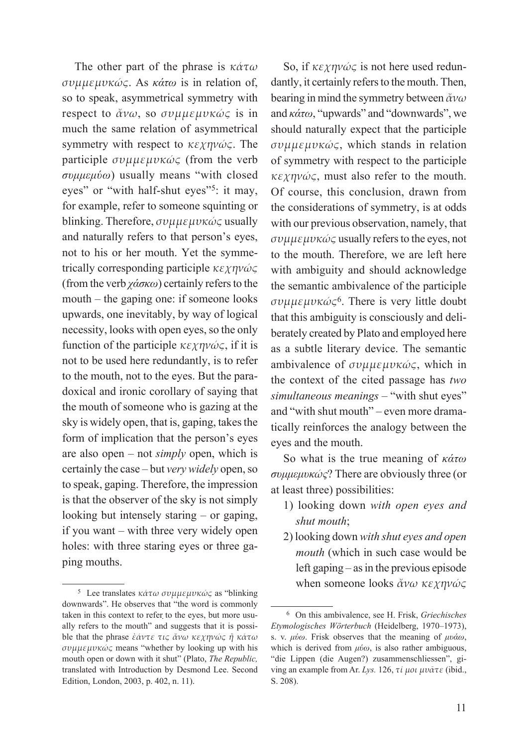The other part of the phrase is *κάτω συμμεμυκώς*. As *κάτω* is in relation of, so to speak, asymmetrical symmetry with respect to *ἄνω*, so *συμμεμυκώς* is in much the same relation of asymmetrical symmetry with respect to *κεχηνώς*. The participle *συμμεμυκώς* (from the verb *συμμεμύω*) usually means "with closed eyes" or "with half-shut eyes"<sup>5</sup>: it may, for example, refer to someone squinting or blinking. Therefore, *συμμεμυκώς* usually and naturally refers to that person's eyes, not to his or her mouth. Yet the symmetrically corresponding participle *κεχηνώς* (from the verb *χάσκω*) certainly refers to the mouth – the gaping one: if someone looks upwards, one inevitably, by way of logical necessity, looks with open eyes, so the only function of the participle *κεχηνώς*, if it is not to be used here redundantly, is to refer to the mouth, not to the eyes. But the paradoxical and ironic corollary of saying that the mouth of someone who is gazing at the sky is widely open, that is, gaping, takes the form of implication that the person's eyes are also open – not *simply* open, which is certainly the case – but *very widely* open, so to speak, gaping. Therefore, the impression is that the observer of the sky is not simply looking but intensely staring – or gaping, if you want – with three very widely open holes: with three staring eyes or three gaping mouths.

So, if *κεχηνώς* is not here used redundantly, it certainly refers to the mouth. Then, bearing in mind the symmetry between *ἄνω* and *κάτω*, "upwards" and "downwards", we should naturally expect that the participle *συμμεμυκώς*, which stands in relation of symmetry with respect to the participle *κεχηνώς*, must also refer to the mouth. Of course, this conclusion, drawn from the considerations of symmetry, is at odds with our previous observation, namely, that *συμμεμυκώς* usually refers to the eyes, not to the mouth. Therefore, we are left here with ambiguity and should acknowledge the semantic ambivalence of the participle *συμμεμυκώς*<sup>6</sup>. There is very little doubt that this ambiguity is consciously and deliberately created by Plato and employed here as a subtle literary device. The semantic ambivalence of *συμμεμυκώς*, which in the context of the cited passage has *two simultaneous meanings* – "with shut eyes" and "with shut mouth" – even more dramatically reinforces the analogy between the eyes and the mouth.

So what is the true meaning of *κάτω συμμεμυκώς*? There are obviously three (or at least three) possibilities:

- 1) looking down *with open eyes and shut mouth*;
- 2) looking down *with shut eyes and open mouth* (which in such case would be left gaping – as in the previous episode when someone looks *ἄνω κεχηνώς*

<sup>5</sup> Lee translates *κάτω συμμεμυκώς* as "blinking downwards". He observes that "the word is commonly taken in this context to refer to the eyes, but more usually refers to the mouth" and suggests that it is possible that the phrase *ἐάντε τις ἄνω κεχηνώς ἢ κάτω συμμεμυκώς* means "whether by looking up with his mouth open or down with it shut" (Plato, *The Republic,* translated with Introduction by Desmond Lee. Second Edition, London, 2003, p. 402, n. 11).

<sup>6</sup> On this ambivalence, see H. Frisk, *Griechisches Etymologisches Wörterbuch* (Heidelberg, 1970–1973), s. v. *μύω*. Frisk observes that the meaning of *μυάω*, which is derived from *μύω*, is also rather ambiguous, "die Lippen (die Augen?) zusammenschliessen", giving an example from Ar. *Lys.* 126, *τί μοι μυᾶτε* (ibid., S. 208).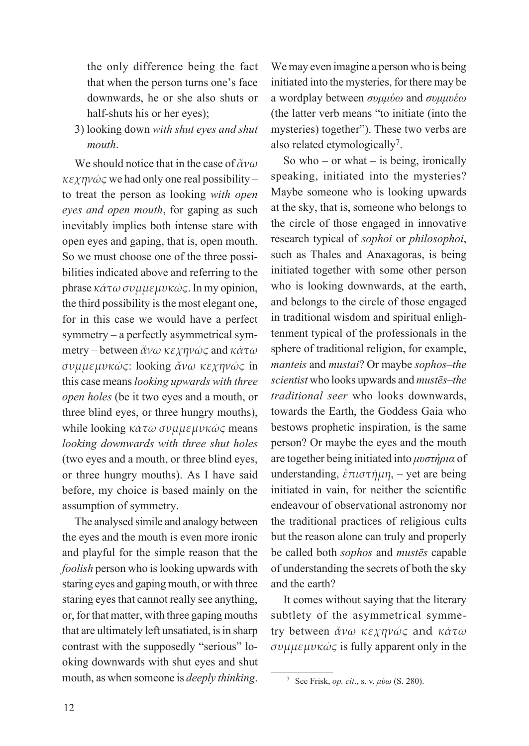the only difference being the fact that when the person turns one's face downwards, he or she also shuts or half-shuts his or her eyes);

3) looking down *with shut eyes and shut mouth*.

We should notice that in the case of *ἄνω κεχηνώς* we had only one real possibility – to treat the person as looking *with open eyes and open mouth*, for gaping as such inevitably implies both intense stare with open eyes and gaping, that is, open mouth. So we must choose one of the three possibilities indicated above and referring to the phrase *κάτω συμμεμυκώς*. In my opinion, the third possibility is the most elegant one, for in this case we would have a perfect symmetry – a perfectly asymmetrical symmetry – between *ἄνω κεχηνώς* and *κάτω συμμεμυκώς*: looking *ἄνω κεχηνώς* in this case means *looking upwards with three open holes* (be it two eyes and a mouth, or three blind eyes, or three hungry mouths), while looking *κάτω συμμεμυκώς* means *looking downwards with three shut holes* (two eyes and a mouth, or three blind eyes, or three hungry mouths). As I have said before, my choice is based mainly on the assumption of symmetry.

The analysed simile and analogy between the eyes and the mouth is even more ironic and playful for the simple reason that the *foolish* person who is looking upwards with staring eyes and gaping mouth, or with three staring eyes that cannot really see anything, or, for that matter, with three gaping mouths that are ultimately left unsatiated, is in sharp contrast with the supposedly "serious" looking downwards with shut eyes and shut mouth, as when someone is *deeply thinking*.

We may even imagine a person who is being initiated into the mysteries, for there may be a wordplay between *συμμύω* and *συμμυέω* (the latter verb means "to initiate (into the mysteries) together"). These two verbs are also related etymologically<sup>7</sup>.

So who – or what – is being, ironically speaking, initiated into the mysteries? Maybe someone who is looking upwards at the sky, that is, someone who belongs to the circle of those engaged in innovative research typical of *sophoi* or *philosophoi*, such as Thales and Anaxagoras, is being initiated together with some other person who is looking downwards, at the earth, and belongs to the circle of those engaged in traditional wisdom and spiritual enlightenment typical of the professionals in the sphere of traditional religion, for example, *manteis* and *mustai*? Or maybe *sophos–the scientist* who looks upwards and *mustēs–the traditional seer* who looks downwards, towards the Earth, the Goddess Gaia who bestows prophetic inspiration, is the same person? Or maybe the eyes and the mouth are together being initiated into *μυστήρια* of understanding, *ἐπιστήμη*, – yet are being initiated in vain, for neither the scientific endeavour of observational astronomy nor the traditional practices of religious cults but the reason alone can truly and properly be called both *sophos* and *mustēs* capable of understanding the secrets of both the sky and the earth?

It comes without saying that the literary subtlety of the asymmetrical symmetry between *ἄνω κεχηνώς* and *κάτω συμμεμυκώς* is fully apparent only in the

<sup>7</sup> See Frisk, *op. cit*., s. v. *μύω* (S. 280).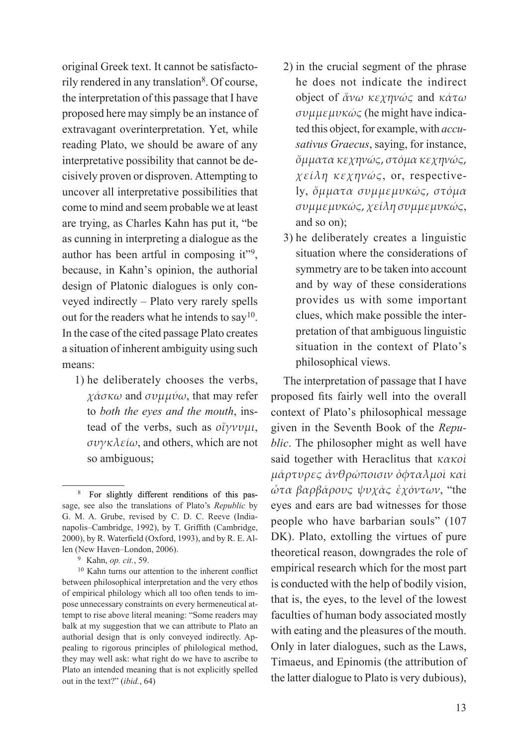original Greek text. It cannot be satisfactorily rendered in any translation<sup>8</sup>. Of course, the interpretation of this passage that I have proposed here may simply be an instance of extravagant overinterpretation. Yet, while reading Plato, we should be aware of any interpretative possibility that cannot be decisively proven or disproven. Attempting to uncover all interpretative possibilities that come to mind and seem probable we at least are trying, as Charles Kahn has put it, "be as cunning in interpreting a dialogue as the author has been artful in composing it"<sup>9</sup>, because, in Kahn's opinion, the authorial design of Platonic dialogues is only conveyed indirectly – Plato very rarely spells out for the readers what he intends to say<sup>10</sup>. In the case of the cited passage Plato creates a situation of inherent ambiguity using such means:

1) he deliberately chooses the verbs, *χάσκω* and *συμμύω*, that may refer to *both the eyes and the mouth*, instead of the verbs, such as *οἴγνυμι*, *συγκλείω*, and others, which are not so ambiguous;

- 2) in the crucial segment of the phrase he does not indicate the indirect object of *ἄνω κεχηνώς* and *κάτω συμμεμυκώς* (he might have indicated this object, for example, with *accusativus Graecus*, saying, for instance, *ὄμματα κεχηνώς*, *στόμα κεχηνώς*, *χείλη κεχηνώς*, or, respectively, *ὄμματα συμμεμυκώς*, *στόμα συμμεμυκώς*, *χείλη συμμεμυκώς*, and so on);
- 3) he deliberately creates a linguistic situation where the considerations of symmetry are to be taken into account and by way of these considerations provides us with some important clues, which make possible the interpretation of that ambiguous linguistic situation in the context of Plato's philosophical views.

The interpretation of passage that I have proposed fits fairly well into the overall context of Plato's philosophical message given in the Seventh Book of the *Republic*. The philosopher might as well have said together with Heraclitus that *κακοὶ μάρτυρες ἀνθρώποισιν ὀφταλμοὶ καὶ ὦτα βαρβάρους ψυχὰς ἐχόντων*, "the eyes and ears are bad witnesses for those people who have barbarian souls" (107 DK). Plato, extolling the virtues of pure theoretical reason, downgrades the role of empirical research which for the most part is conducted with the help of bodily vision, that is, the eyes, to the level of the lowest faculties of human body associated mostly with eating and the pleasures of the mouth. Only in later dialogues, such as the Laws, Timaeus, and Epinomis (the attribution of the latter dialogue to Plato is very dubious),

<sup>8</sup> For slightly different renditions of this passage, see also the translations of Plato's *Republic* by G. M. A. Grube, revised by C. D. C. Reeve (Indianapolis–Cambridge, 1992), by T. Griffith (Cambridge, 2000), by R. Waterfield (Oxford, 1993), and by R. E. Allen (New Haven–London, 2006).

<sup>9</sup> Kahn, *op. cit.*, 59.

<sup>10</sup> Kahn turns our attention to the inherent conflict between philosophical interpretation and the very ethos of empirical philology which all too often tends to impose unnecessary constraints on every hermeneutical attempt to rise above literal meaning: "Some readers may balk at my suggestion that we can attribute to Plato an authorial design that is only conveyed indirectly. Appealing to rigorous principles of philological method, they may well ask: what right do we have to ascribe to Plato an intended meaning that is not explicitly spelled out in the text?" (*ibid.*, 64)